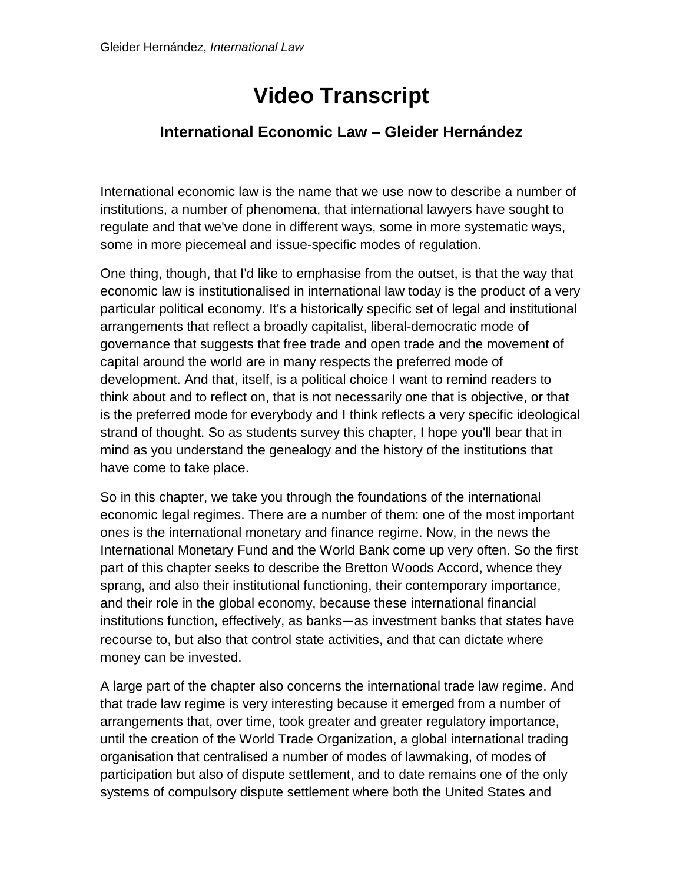## **Video Transcript**

## **International Economic Law – Gleider Hernández**

International economic law is the name that we use now to describe a number of institutions, a number of phenomena, that international lawyers have sought to regulate and that we've done in different ways, some in more systematic ways, some in more piecemeal and issue-specific modes of regulation.

One thing, though, that I'd like to emphasise from the outset, is that the way that economic law is institutionalised in international law today is the product of a very particular political economy. It's a historically specific set of legal and institutional arrangements that reflect a broadly capitalist, liberal-democratic mode of governance that suggests that free trade and open trade and the movement of capital around the world are in many respects the preferred mode of development. And that, itself, is a political choice I want to remind readers to think about and to reflect on, that is not necessarily one that is objective, or that is the preferred mode for everybody and I think reflects a very specific ideological strand of thought. So as students survey this chapter, I hope you'll bear that in mind as you understand the genealogy and the history of the institutions that have come to take place.

So in this chapter, we take you through the foundations of the international economic legal regimes. There are a number of them: one of the most important ones is the international monetary and finance regime. Now, in the news the International Monetary Fund and the World Bank come up very often. So the first part of this chapter seeks to describe the Bretton Woods Accord, whence they sprang, and also their institutional functioning, their contemporary importance, and their role in the global economy, because these international financial institutions function, effectively, as banks—as investment banks that states have recourse to, but also that control state activities, and that can dictate where money can be invested.

A large part of the chapter also concerns the international trade law regime. And that trade law regime is very interesting because it emerged from a number of arrangements that, over time, took greater and greater regulatory importance, until the creation of the World Trade Organization, a global international trading organisation that centralised a number of modes of lawmaking, of modes of participation but also of dispute settlement, and to date remains one of the only systems of compulsory dispute settlement where both the United States and